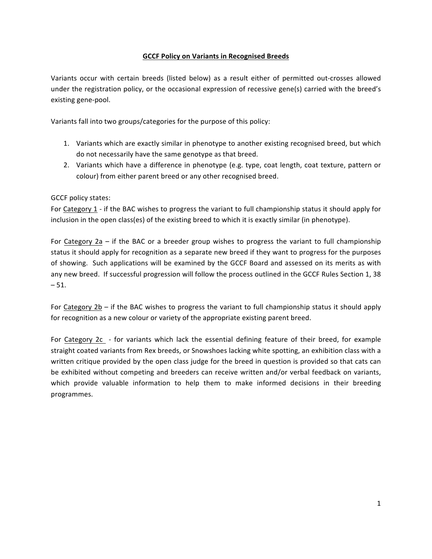#### **GCCF Policy on Variants in Recognised Breeds**

Variants occur with certain breeds (listed below) as a result either of permitted out-crosses allowed under the registration policy, or the occasional expression of recessive gene(s) carried with the breed's existing gene-pool.

Variants fall into two groups/categories for the purpose of this policy:

- 1. Variants which are exactly similar in phenotype to another existing recognised breed, but which do not necessarily have the same genotype as that breed.
- 2. Variants which have a difference in phenotype (e.g. type, coat length, coat texture, pattern or colour) from either parent breed or any other recognised breed.

GCCF policy states:

For Category 1 - if the BAC wishes to progress the variant to full championship status it should apply for inclusion in the open class(es) of the existing breed to which it is exactly similar (in phenotype).

For Category  $2a$  – if the BAC or a breeder group wishes to progress the variant to full championship status it should apply for recognition as a separate new breed if they want to progress for the purposes of showing. Such applications will be examined by the GCCF Board and assessed on its merits as with any new breed. If successful progression will follow the process outlined in the GCCF Rules Section 1, 38  $-51.$ 

For Category  $2b - if$  the BAC wishes to progress the variant to full championship status it should apply for recognition as a new colour or variety of the appropriate existing parent breed.

For Category  $2c -$  for variants which lack the essential defining feature of their breed, for example straight coated variants from Rex breeds, or Snowshoes lacking white spotting, an exhibition class with a written critique provided by the open class judge for the breed in question is provided so that cats can be exhibited without competing and breeders can receive written and/or verbal feedback on variants, which provide valuable information to help them to make informed decisions in their breeding programmes.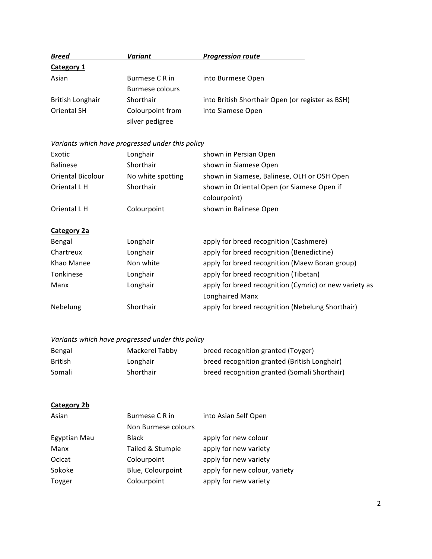| <b>Breed</b>            | Variant          | <b>Progression route</b>                         |
|-------------------------|------------------|--------------------------------------------------|
| <b>Category 1</b>       |                  |                                                  |
| Asian                   | Burmese C R in   | into Burmese Open                                |
|                         | Burmese colours  |                                                  |
| <b>British Longhair</b> | Shorthair        | into British Shorthair Open (or register as BSH) |
| <b>Oriental SH</b>      | Colourpoint from | into Siamese Open                                |
|                         | silver pedigree  |                                                  |

*Variants which have progressed under this policy*

| Exotic                   | Longhair          | shown in Persian Open                                      |
|--------------------------|-------------------|------------------------------------------------------------|
| <b>Balinese</b>          | Shorthair         | shown in Siamese Open                                      |
| <b>Oriental Bicolour</b> | No white spotting | shown in Siamese, Balinese, OLH or OSH Open                |
| Oriental L H             | Shorthair         | shown in Oriental Open (or Siamese Open if<br>colourpoint) |
| Oriental L H             | Colourpoint       | shown in Balinese Open                                     |

# **Category 2a**

| Bengal     | Longhair  | apply for breed recognition (Cashmere)                 |
|------------|-----------|--------------------------------------------------------|
| Chartreux  | Longhair  | apply for breed recognition (Benedictine)              |
| Khao Manee | Non white | apply for breed recognition (Maew Boran group)         |
| Tonkinese  | Longhair  | apply for breed recognition (Tibetan)                  |
| Manx       | Longhair  | apply for breed recognition (Cymric) or new variety as |
|            |           | <b>Longhaired Manx</b>                                 |
| Nebelung   | Shorthair | apply for breed recognition (Nebelung Shorthair)       |

# *Variants which have progressed under this policy*

| Bengal  | Mackerel Tabby | breed recognition granted (Toyger)           |
|---------|----------------|----------------------------------------------|
| British | Longhair       | breed recognition granted (British Longhair) |
| Somali  | Shorthair      | breed recognition granted (Somali Shorthair) |

# **Category 2b**

| Asian        | Burmese C R in      | into Asian Self Open          |
|--------------|---------------------|-------------------------------|
|              | Non Burmese colours |                               |
| Egyptian Mau | <b>Black</b>        | apply for new colour          |
| Manx         | Tailed & Stumpie    | apply for new variety         |
| Ocicat       | Colourpoint         | apply for new variety         |
| Sokoke       | Blue, Colourpoint   | apply for new colour, variety |
| Toyger       | Colourpoint         | apply for new variety         |